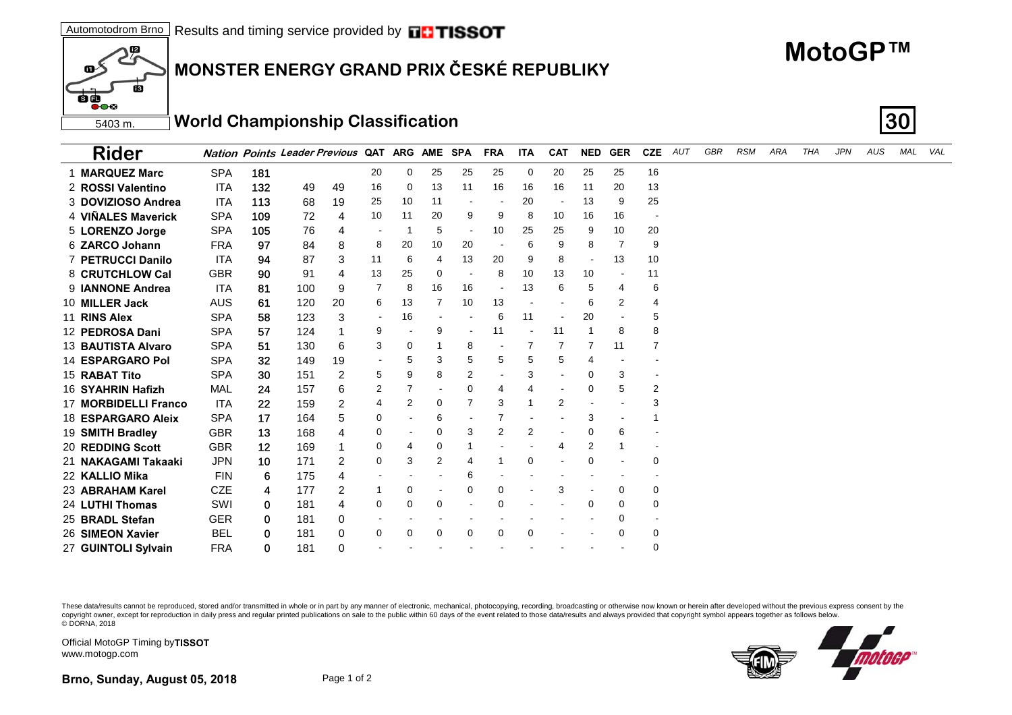## **MONSTER ENERGY GRAND PRIX ČESKÉ REPUBLIKY**

## **MotoGP™**

5403 m.**World Championship Classification 30**

| <b>Rider</b>             |            |         | <b>Nation Points Leader Previous</b> |                |    | QAT ARG | <b>AME</b>     | <b>SPA</b>     | <b>FRA</b>     | <b>ITA</b>  | <b>CAT</b>               | <b>NED</b>     | <b>GER</b> | <b>CZE</b> | AUT | GBR | <b>RSM</b> | ARA | <b>THA</b> | <b>JPN</b> | AUS | MAL | VAL |
|--------------------------|------------|---------|--------------------------------------|----------------|----|---------|----------------|----------------|----------------|-------------|--------------------------|----------------|------------|------------|-----|-----|------------|-----|------------|------------|-----|-----|-----|
| 1 MARQUEZ Marc           | <b>SPA</b> | 181     |                                      |                | 20 | 0       | 25             | 25             | 25             | $\mathbf 0$ | 20                       | 25             | 25         | 16         |     |     |            |     |            |            |     |     |     |
| 2 ROSSI Valentino        | <b>ITA</b> | 132     | 49                                   | 49             | 16 | 0       | 13             | 11             | 16             | 16          | 16                       | 11             | 20         | 13         |     |     |            |     |            |            |     |     |     |
| 3 DOVIZIOSO Andrea       | ITA        | 113     | 68                                   | 19             | 25 | 10      | 11             |                |                | 20          |                          | 13             | 9          | 25         |     |     |            |     |            |            |     |     |     |
| 4 VIÑALES Maverick       | <b>SPA</b> | 109     | 72                                   | 4              | 10 | 11      | 20             | 9              | 9              | 8           | 10                       | 16             | 16         |            |     |     |            |     |            |            |     |     |     |
| 5 LORENZO Jorge          | <b>SPA</b> | 105     | 76                                   | 4              |    |         | 5              | $\blacksquare$ | 10             | 25          | 25                       | 9              | 10         | 20         |     |     |            |     |            |            |     |     |     |
| 6 ZARCO Johann           | <b>FRA</b> | 97      | 84                                   | 8              | 8  | 20      | 10             | 20             |                | 6           | 9                        | 8              | 7          | 9          |     |     |            |     |            |            |     |     |     |
| <b>7 PETRUCCI Danilo</b> | <b>ITA</b> | 94      | 87                                   | 3              | 11 | 6       | 4              | 13             | 20             | 9           | 8                        |                | 13         | 10         |     |     |            |     |            |            |     |     |     |
| 8 CRUTCHLOW Cal          | <b>GBR</b> | 90      | 91                                   | 4              | 13 | 25      | $\Omega$       |                | 8              | 10          | 13                       | 10             |            | 11         |     |     |            |     |            |            |     |     |     |
| 9 <b>IANNONE</b> Andrea  | <b>ITA</b> | 81      | 100                                  | 9              | 7  | 8       | 16             | 16             |                | 13          | 6                        | 5              | 4          | 6          |     |     |            |     |            |            |     |     |     |
| 10 MILLER Jack           | <b>AUS</b> | 61      | 120                                  | 20             | 6  | 13      |                | 10             | 13             |             |                          | 6              | 2          | 4          |     |     |            |     |            |            |     |     |     |
| 11 RINS Alex             | <b>SPA</b> | 58      | 123                                  | 3              |    | 16      |                |                | 6              | 11          |                          | 20             |            | 5          |     |     |            |     |            |            |     |     |     |
| 12 PEDROSA Dani          | <b>SPA</b> | 57      | 124                                  |                | 9  |         | 9              |                | 11             |             | 11                       |                | 8          | 8          |     |     |            |     |            |            |     |     |     |
| 13 BAUTISTA Alvaro       | <b>SPA</b> | 51      | 130                                  | 6              | 3  | 0       |                | 8              |                | 7           | 7                        | $\overline{7}$ | 11         | 7          |     |     |            |     |            |            |     |     |     |
| 14 ESPARGARO Pol         | <b>SPA</b> | 32      | 149                                  | 19             |    | 5       | 3              | 5              | 5              | 5           | 5                        | 4              |            |            |     |     |            |     |            |            |     |     |     |
| 15 RABAT Tito            | <b>SPA</b> | 30      | 151                                  | 2              | 5  | 9       | 8              | $\overline{2}$ |                | 3           |                          | 0              | 3          |            |     |     |            |     |            |            |     |     |     |
| 16 SYAHRIN Hafizh        | MAL        | 24      | 157                                  | 6              | 2  |         |                | 0              | 4              | 4           | $\overline{\phantom{a}}$ | 0              | 5          | 2          |     |     |            |     |            |            |     |     |     |
| 17 MORBIDELLI Franco     | <b>ITA</b> | 22      | 159                                  | 2              | 4  | 2       | $\Omega$       |                | 3              |             | 2                        |                |            | 3          |     |     |            |     |            |            |     |     |     |
| 18 ESPARGARO Aleix       | <b>SPA</b> | 17      | 164                                  | 5              | 0  |         | 6              |                | 7              |             |                          | 3              |            |            |     |     |            |     |            |            |     |     |     |
| 19 SMITH Bradley         | <b>GBR</b> | 13      | 168                                  | 4              | 0  |         | $\Omega$       | 3              | $\overline{2}$ | 2           |                          | $\Omega$       | 6          |            |     |     |            |     |            |            |     |     |     |
| <b>20 REDDING Scott</b>  | <b>GBR</b> | $12 \,$ | 169                                  | 1              | 0  | 4       | 0              |                |                |             | 4                        | 2              |            |            |     |     |            |     |            |            |     |     |     |
| 21 NAKAGAMI Takaaki      | <b>JPN</b> | 10      | 171                                  | $\overline{2}$ | 0  | 3       | $\overline{2}$ | 4              | 1              | $\Omega$    |                          | $\Omega$       |            | 0          |     |     |            |     |            |            |     |     |     |
| 22 KALLIO Mika           | <b>FIN</b> | 6       | 175                                  | 4              |    |         |                | 6              |                |             |                          |                |            |            |     |     |            |     |            |            |     |     |     |
| 23 ABRAHAM Karel         | <b>CZE</b> | 4       | 177                                  | 2              | 1  | 0       |                | 0              | 0              |             | 3                        |                | 0          | 0          |     |     |            |     |            |            |     |     |     |
| 24 LUTHI Thomas          | SWI        | 0       | 181                                  | 4              | 0  | 0       | 0              |                | $\Omega$       |             |                          | $\Omega$       | 0          | 0          |     |     |            |     |            |            |     |     |     |
| 25 BRADL Stefan          | <b>GER</b> | 0       | 181                                  | 0              |    |         |                |                |                |             |                          |                | 0          |            |     |     |            |     |            |            |     |     |     |
| 26 SIMEON Xavier         | <b>BEL</b> | 0       | 181                                  | 0              | 0  | 0       | $\Omega$       | 0              | $\Omega$       | $\Omega$    |                          |                | 0          | 0          |     |     |            |     |            |            |     |     |     |
| 27 GUINTOLI Sylvain      | <b>FRA</b> | 0       | 181                                  | 0              |    |         |                |                |                |             |                          |                |            | 0          |     |     |            |     |            |            |     |     |     |

These data/results cannot be reproduced, stored and/or transmitted in whole or in part by any manner of electronic, mechanical, photocopying, recording, broadcasting or otherwise now known or herein after developed without copyright owner, except for reproduction in daily press and regular printed publications on sale to the public within 60 days of the event related to those data/results and always provided that copyright symbol appears tog © DORNA, 2018



Official MotoGP Timing by **TISSOT**www.motogp.com

12

ria

œ

68  $\overline{\bullet}$ 00

**Brno, Sunday, August 05, 2018** Page 1 of 2